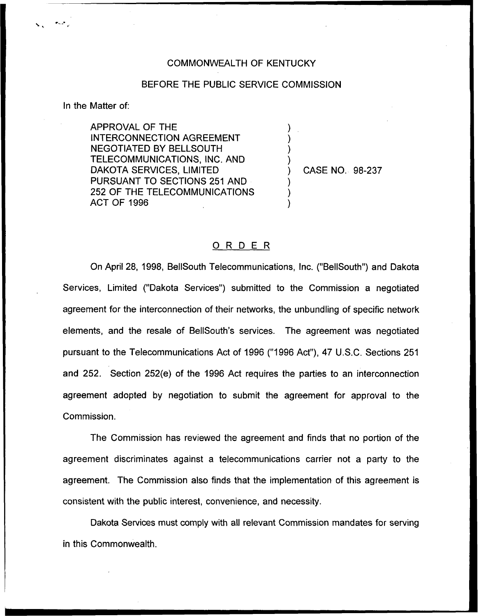## COMMONWEALTH OF KENTUCKY

## BEFORE THE PUBLIC SERVICE COMMISSION

In the Matter of:

APPROVAL OF THE INTERCONNECTION AGREEMENT NEGOTIATED BY BELLSOUTH TELECOMMUNICATIONS, INC. AND DAKOTA SERVICES, LIMITED PURSUANT TO SECTIONS 251 AND 252 OF THE TELECOMMUNICATIONS ACT OF 1996

) CASE NO. 98-237

) . ) ) )

) ) )

## ORDER

On April 28, 1998, BellSouth Telecommunications, Inc. ("BellSouth") and Dakota Services, Limited ("Dakota Services") submitted to the Commission a negotiate agreement for the interconnection of their networks, the unbundling of specific network elements, and the resale of BellSouth's services. The agreement was negotiated pursuant to the Telecommunications Act of 1996 ("1996 Act"), 47 U.S.C. Sections 251 and 252. Section 252(e) of the 1996 Act requires the parties to an interconnection agreement adopted by negotiation to submit the agreement for approval to the Commission.

The Commission has reviewed the agreement and finds that no portion of the agreement discriminates against a telecommunications carrier not a party to the agreement. The Commission also finds that the implementation of this agreement is consistent with the public interest, convenience, and necessity.

Dakota Services must comply with all relevant Commission mandates for serving in this Commonwealth.